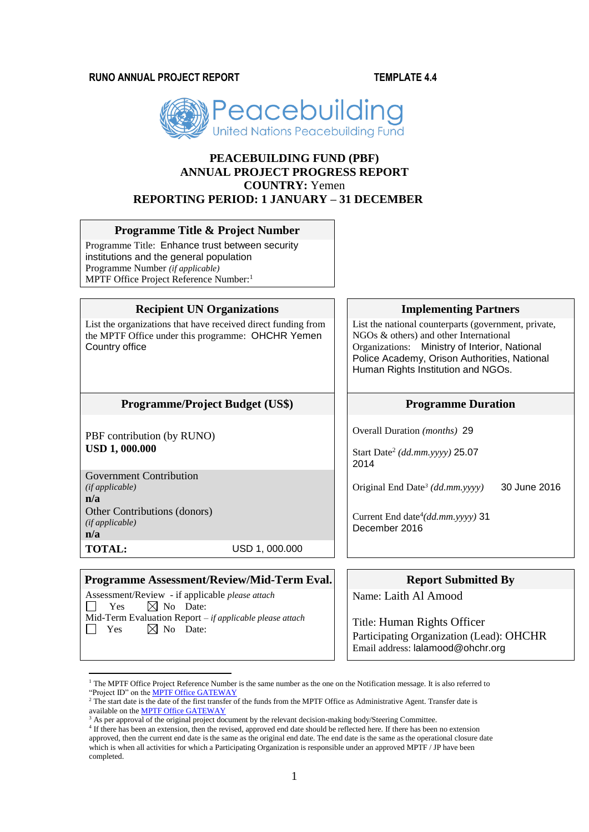**RUNO ANNUAL PROJECT REPORT TEMPLATE 4.4**



# **PEACEBUILDING FUND (PBF) ANNUAL PROJECT PROGRESS REPORT COUNTRY:** Yemen **REPORTING PERIOD: 1 JANUARY – 31 DECEMBER**

# **Programme Title & Project Number**

Programme Title: Enhance trust between security institutions and the general population Programme Number *(if applicable)*  MPTF Office Project Reference Number:<sup>1</sup>

# **Recipient UN Organizations Implementing Partners**

List the organizations that have received direct funding from the MPTF Office under this programme: OHCHR Yemen Country office

# **Programme/Project Budget** (US\$) Programme Duration

PBF contribution (by RUNO) **USD 1, 000.000**

Government Contribution *(if applicable)* **n/a** Other Contributions (donors) *(if applicable)* **n/a**

**TOTAL:** USD 1, 000.000

### **Programme Assessment/Review/Mid-Term Eval. Report Submitted By**

Assessment/Review - if applicable *please attach*  $\boxtimes$  No Date: Mid-Term Evaluation Report *– if applicable please attach*  $\Box$  Yes  $\boxtimes$  No Date:

List the national counterparts (government, private, NGOs & others) and other International Organizations: Ministry of Interior, National Police Academy, Orison Authorities, National Human Rights Institution and NGOs.

Overall Duration *(months)* 29

Start Date<sup>2</sup> *(dd.mm.yyyy)* 25.07 2014

Original End Date*<sup>3</sup> (dd.mm.yyyy)* 30 June 2016

Current End date<sup>4</sup>(dd.mm.yyyy) 31 December 2016

Name: Laith Al Amood

Title: Human Rights Officer Participating Organization (Lead): OHCHR Email address: lalamood@ohchr.org

<sup>1</sup>  $1$  The MPTF Office Project Reference Number is the same number as the one on the Notification message. It is also referred to "Project ID" on th[e MPTF Office GATEWAY](http://mdtf.undp.org/)

<sup>&</sup>lt;sup>2</sup> The start date is the date of the first transfer of the funds from the MPTF Office as Administrative Agent. Transfer date is available on th[e MPTF Office GATEWAY](http://mdtf.undp.org/)

<sup>&</sup>lt;sup>3</sup> As per approval of the original project document by the relevant decision-making body/Steering Committee.

<sup>&</sup>lt;sup>4</sup> If there has been an extension, then the revised, approved end date should be reflected here. If there has been no extension approved, then the current end date is the same as the original end date. The end date is the same as the operational closure date which is when all activities for which a Participating Organization is responsible under an approved MPTF / JP have been completed.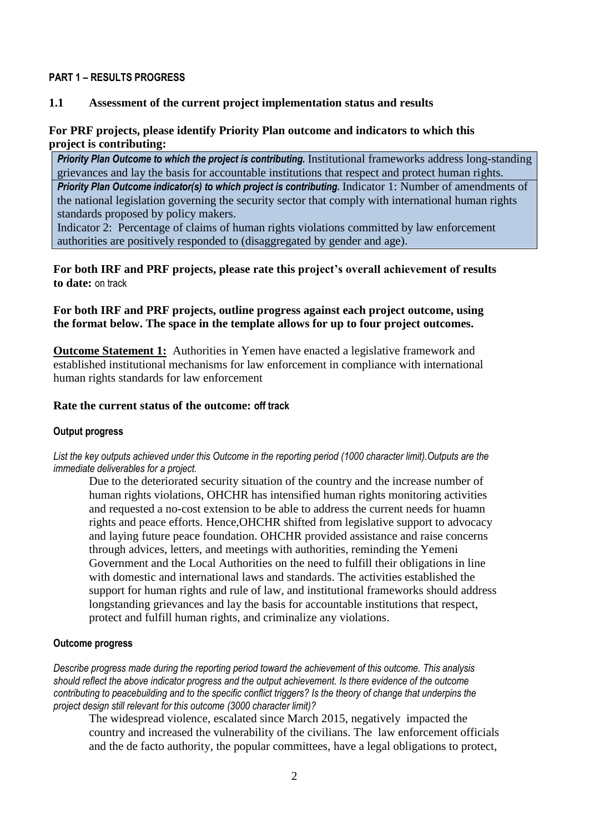# **PART 1 – RESULTS PROGRESS**

# **1.1 Assessment of the current project implementation status and results**

# **For PRF projects, please identify Priority Plan outcome and indicators to which this project is contributing:**

**Priority Plan Outcome to which the project is contributing.** Institutional frameworks address long-standing grievances and lay the basis for accountable institutions that respect and protect human rights.

*Priority Plan Outcome indicator(s) to which project is contributing. Indicator 1: Number of amendments of* the national legislation governing the security sector that comply with international human rights standards proposed by policy makers.

Indicator 2: Percentage of claims of human rights violations committed by law enforcement authorities are positively responded to (disaggregated by gender and age).

**For both IRF and PRF projects, please rate this project's overall achievement of results to date:** on track

# **For both IRF and PRF projects, outline progress against each project outcome, using the format below. The space in the template allows for up to four project outcomes.**

**Outcome Statement 1:** Authorities in Yemen have enacted a legislative framework and established institutional mechanisms for law enforcement in compliance with international human rights standards for law enforcement

# **Rate the current status of the outcome: off track**

## **Output progress**

*List the key outputs achieved under this Outcome in the reporting period (1000 character limit).Outputs are the immediate deliverables for a project.*

Due to the deteriorated security situation of the country and the increase number of human rights violations, OHCHR has intensified human rights monitoring activities and requested a no-cost extension to be able to address the current needs for huamn rights and peace efforts. Hence,OHCHR shifted from legislative support to advocacy and laying future peace foundation. OHCHR provided assistance and raise concerns through advices, letters, and meetings with authorities, reminding the Yemeni Government and the Local Authorities on the need to fulfill their obligations in line with domestic and international laws and standards. The activities established the support for human rights and rule of law, and institutional frameworks should address longstanding grievances and lay the basis for accountable institutions that respect, protect and fulfill human rights, and criminalize any violations.

## **Outcome progress**

*Describe progress made during the reporting period toward the achievement of this outcome. This analysis should reflect the above indicator progress and the output achievement. Is there evidence of the outcome contributing to peacebuilding and to the specific conflict triggers? Is the theory of change that underpins the project design still relevant for this outcome (3000 character limit)?* 

The widespread violence, escalated since March 2015, negatively impacted the country and increased the vulnerability of the civilians. The law enforcement officials and the de facto authority, the popular committees, have a legal obligations to protect,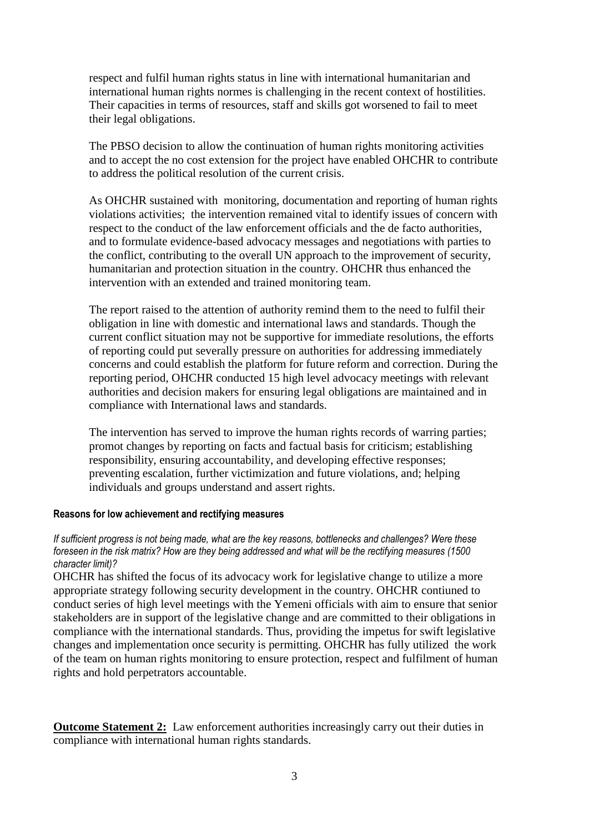respect and fulfil human rights status in line with international humanitarian and international human rights normes is challenging in the recent context of hostilities. Their capacities in terms of resources, staff and skills got worsened to fail to meet their legal obligations.

The PBSO decision to allow the continuation of human rights monitoring activities and to accept the no cost extension for the project have enabled OHCHR to contribute to address the political resolution of the current crisis.

As OHCHR sustained with monitoring, documentation and reporting of human rights violations activities; the intervention remained vital to identify issues of concern with respect to the conduct of the law enforcement officials and the de facto authorities, and to formulate evidence-based advocacy messages and negotiations with parties to the conflict, contributing to the overall UN approach to the improvement of security, humanitarian and protection situation in the country. OHCHR thus enhanced the intervention with an extended and trained monitoring team.

The report raised to the attention of authority remind them to the need to fulfil their obligation in line with domestic and international laws and standards. Though the current conflict situation may not be supportive for immediate resolutions, the efforts of reporting could put severally pressure on authorities for addressing immediately concerns and could establish the platform for future reform and correction. During the reporting period, OHCHR conducted 15 high level advocacy meetings with relevant authorities and decision makers for ensuring legal obligations are maintained and in compliance with International laws and standards.

The intervention has served to improve the human rights records of warring parties; promot changes by reporting on facts and factual basis for criticism; establishing responsibility, ensuring accountability, and developing effective responses; preventing escalation, further victimization and future violations, and; helping individuals and groups understand and assert rights.

# **Reasons for low achievement and rectifying measures**

# *If sufficient progress is not being made, what are the key reasons, bottlenecks and challenges? Were these foreseen in the risk matrix? How are they being addressed and what will be the rectifying measures (1500 character limit)?*

OHCHR has shifted the focus of its advocacy work for legislative change to utilize a more appropriate strategy following security development in the country. OHCHR contiuned to conduct series of high level meetings with the Yemeni officials with aim to ensure that senior stakeholders are in support of the legislative change and are committed to their obligations in compliance with the international standards. Thus, providing the impetus for swift legislative changes and implementation once security is permitting. OHCHR has fully utilized the work of the team on human rights monitoring to ensure protection, respect and fulfilment of human rights and hold perpetrators accountable.

**Outcome Statement 2:** Law enforcement authorities increasingly carry out their duties in compliance with international human rights standards.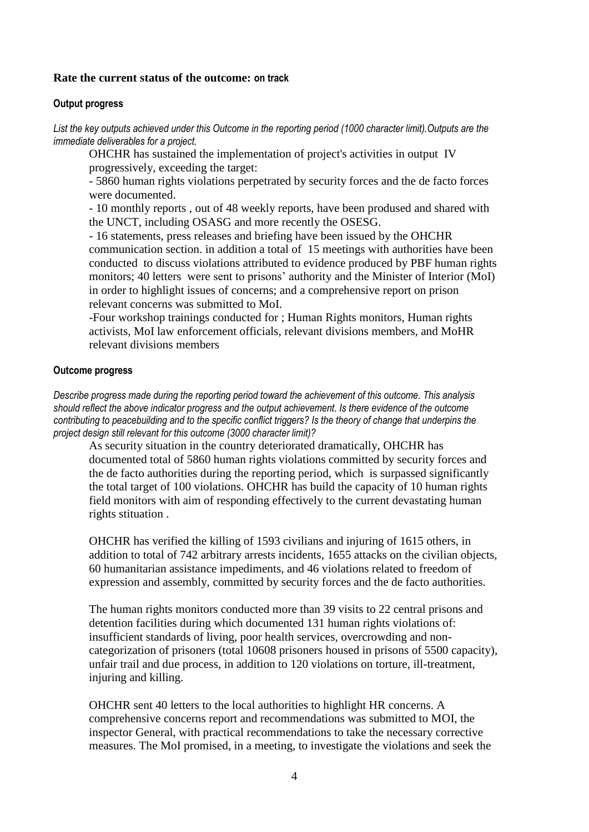# **Rate the current status of the outcome: on track**

## **Output progress**

*List the key outputs achieved under this Outcome in the reporting period (1000 character limit).Outputs are the immediate deliverables for a project.*

OHCHR has sustained the implementation of project's activities in output IV progressively, exceeding the target:

- 5860 human rights violations perpetrated by security forces and the de facto forces were documented.

- 10 monthly reports , out of 48 weekly reports, have been prodused and shared with the UNCT, including OSASG and more recently the OSESG.

- 16 statements, press releases and briefing have been issued by the OHCHR communication section. in addition a total of 15 meetings with authorities have been conducted to discuss violations attributed to evidence produced by PBF human rights monitors; 40 letters were sent to prisons' authority and the Minister of Interior (MoI) in order to highlight issues of concerns; and a comprehensive report on prison relevant concerns was submitted to MoI.

-Four workshop trainings conducted for ; Human Rights monitors, Human rights activists, MoI law enforcement officials, relevant divisions members, and MoHR relevant divisions members

### **Outcome progress**

*Describe progress made during the reporting period toward the achievement of this outcome. This analysis should reflect the above indicator progress and the output achievement. Is there evidence of the outcome contributing to peacebuilding and to the specific conflict triggers? Is the theory of change that underpins the project design still relevant for this outcome (3000 character limit)?* 

As security situation in the country deteriorated dramatically, OHCHR has documented total of 5860 human rights violations committed by security forces and the de facto authorities during the reporting period, which is surpassed significantly the total target of 100 violations. OHCHR has build the capacity of 10 human rights field monitors with aim of responding effectively to the current devastating human rights stituation .

OHCHR has verified the killing of 1593 civilians and injuring of 1615 others, in addition to total of 742 arbitrary arrests incidents, 1655 attacks on the civilian objects, 60 humanitarian assistance impediments, and 46 violations related to freedom of expression and assembly, committed by security forces and the de facto authorities.

The human rights monitors conducted more than 39 visits to 22 central prisons and detention facilities during which documented 131 human rights violations of: insufficient standards of living, poor health services, overcrowding and noncategorization of prisoners (total 10608 prisoners housed in prisons of 5500 capacity), unfair trail and due process, in addition to 120 violations on torture, ill-treatment, injuring and killing.

OHCHR sent 40 letters to the local authorities to highlight HR concerns. A comprehensive concerns report and recommendations was submitted to MOI, the inspector General, with practical recommendations to take the necessary corrective measures. The MoI promised, in a meeting, to investigate the violations and seek the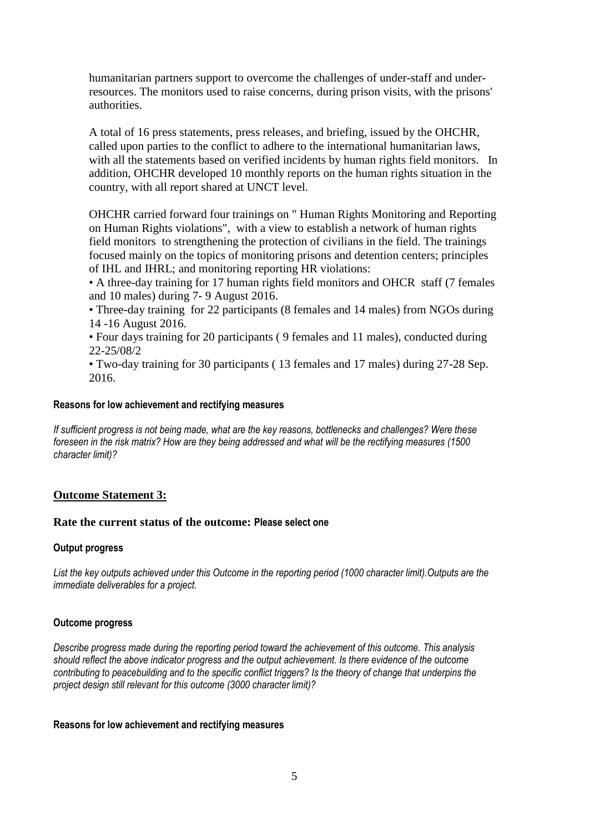humanitarian partners support to overcome the challenges of under-staff and underresources. The monitors used to raise concerns, during prison visits, with the prisons' authorities.

A total of 16 press statements, press releases, and briefing, issued by the OHCHR, called upon parties to the conflict to adhere to the international humanitarian laws, with all the statements based on verified incidents by human rights field monitors. In addition, OHCHR developed 10 monthly reports on the human rights situation in the country, with all report shared at UNCT level.

OHCHR carried forward four trainings on " Human Rights Monitoring and Reporting on Human Rights violations", with a view to establish a network of human rights field monitors to strengthening the protection of civilians in the field. The trainings focused mainly on the topics of monitoring prisons and detention centers; principles of IHL and IHRL; and monitoring reporting HR violations:

• A three-day training for 17 human rights field monitors and OHCR staff (7 females and 10 males) during 7- 9 August 2016.

• Three-day training for 22 participants (8 females and 14 males) from NGOs during 14 -16 August 2016.

• Four days training for 20 participants ( 9 females and 11 males), conducted during 22-25/08/2

• Two-day training for 30 participants ( 13 females and 17 males) during 27-28 Sep. 2016.

### **Reasons for low achievement and rectifying measures**

*If sufficient progress is not being made, what are the key reasons, bottlenecks and challenges? Were these foreseen in the risk matrix? How are they being addressed and what will be the rectifying measures (1500 character limit)?*

## **Outcome Statement 3:**

## **Rate the current status of the outcome: Please select one**

## **Output progress**

*List the key outputs achieved under this Outcome in the reporting period (1000 character limit).Outputs are the immediate deliverables for a project.*

## **Outcome progress**

*Describe progress made during the reporting period toward the achievement of this outcome. This analysis should reflect the above indicator progress and the output achievement. Is there evidence of the outcome contributing to peacebuilding and to the specific conflict triggers? Is the theory of change that underpins the project design still relevant for this outcome (3000 character limit)?* 

### **Reasons for low achievement and rectifying measures**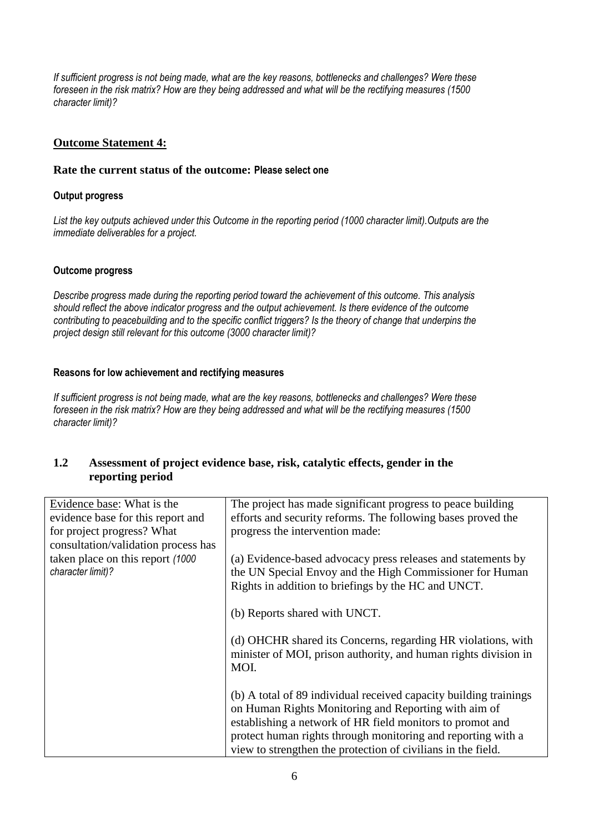*If sufficient progress is not being made, what are the key reasons, bottlenecks and challenges? Were these foreseen in the risk matrix? How are they being addressed and what will be the rectifying measures (1500 character limit)?*

# **Outcome Statement 4:**

# **Rate the current status of the outcome: Please select one**

# **Output progress**

*List the key outputs achieved under this Outcome in the reporting period (1000 character limit).Outputs are the immediate deliverables for a project.*

# **Outcome progress**

*Describe progress made during the reporting period toward the achievement of this outcome. This analysis should reflect the above indicator progress and the output achievement. Is there evidence of the outcome contributing to peacebuilding and to the specific conflict triggers? Is the theory of change that underpins the project design still relevant for this outcome (3000 character limit)?* 

# **Reasons for low achievement and rectifying measures**

*If sufficient progress is not being made, what are the key reasons, bottlenecks and challenges? Were these foreseen in the risk matrix? How are they being addressed and what will be the rectifying measures (1500 character limit)?*

# **1.2 Assessment of project evidence base, risk, catalytic effects, gender in the reporting period**

| Evidence base: What is the<br>evidence base for this report and | The project has made significant progress to peace building<br>efforts and security reforms. The following bases proved the             |
|-----------------------------------------------------------------|-----------------------------------------------------------------------------------------------------------------------------------------|
| for project progress? What                                      | progress the intervention made:                                                                                                         |
| consultation/validation process has                             |                                                                                                                                         |
| taken place on this report (1000)<br>character limit)?          | (a) Evidence-based advocacy press releases and statements by<br>the UN Special Envoy and the High Commissioner for Human                |
|                                                                 | Rights in addition to briefings by the HC and UNCT.                                                                                     |
|                                                                 | (b) Reports shared with UNCT.                                                                                                           |
|                                                                 | (d) OHCHR shared its Concerns, regarding HR violations, with<br>minister of MOI, prison authority, and human rights division in<br>MOI. |
|                                                                 | (b) A total of 89 individual received capacity building trainings<br>on Human Rights Monitoring and Reporting with aim of               |
|                                                                 | establishing a network of HR field monitors to promot and<br>protect human rights through monitoring and reporting with a               |
|                                                                 | view to strengthen the protection of civilians in the field.                                                                            |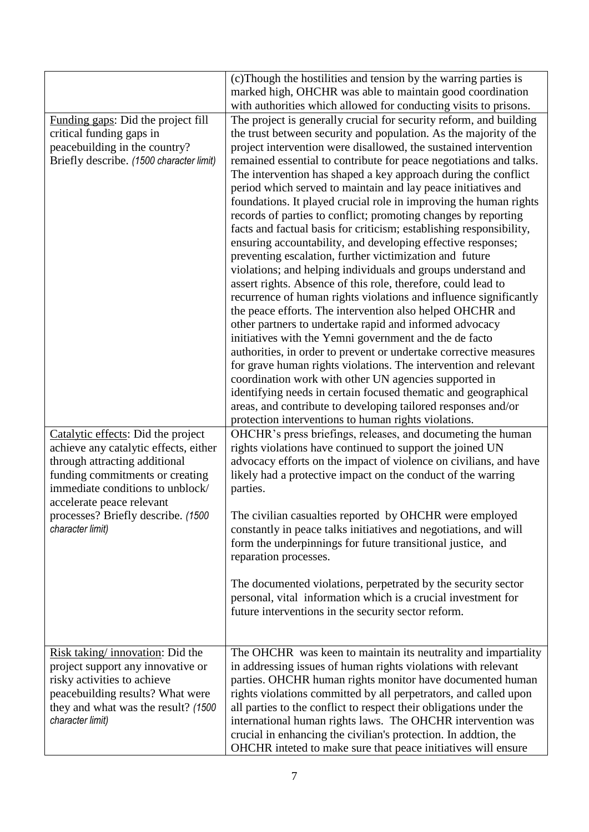|                                          | (c) Though the hostilities and tension by the warring parties is                                                  |
|------------------------------------------|-------------------------------------------------------------------------------------------------------------------|
|                                          | marked high, OHCHR was able to maintain good coordination                                                         |
|                                          | with authorities which allowed for conducting visits to prisons.                                                  |
| Funding gaps: Did the project fill       | The project is generally crucial for security reform, and building                                                |
| critical funding gaps in                 | the trust between security and population. As the majority of the                                                 |
| peacebuilding in the country?            | project intervention were disallowed, the sustained intervention                                                  |
| Briefly describe. (1500 character limit) | remained essential to contribute for peace negotiations and talks.                                                |
|                                          | The intervention has shaped a key approach during the conflict                                                    |
|                                          | period which served to maintain and lay peace initiatives and                                                     |
|                                          | foundations. It played crucial role in improving the human rights                                                 |
|                                          | records of parties to conflict; promoting changes by reporting                                                    |
|                                          | facts and factual basis for criticism; establishing responsibility,                                               |
|                                          | ensuring accountability, and developing effective responses;                                                      |
|                                          | preventing escalation, further victimization and future                                                           |
|                                          | violations; and helping individuals and groups understand and                                                     |
|                                          | assert rights. Absence of this role, therefore, could lead to                                                     |
|                                          | recurrence of human rights violations and influence significantly                                                 |
|                                          | the peace efforts. The intervention also helped OHCHR and                                                         |
|                                          | other partners to undertake rapid and informed advocacy<br>initiatives with the Yemni government and the de facto |
|                                          | authorities, in order to prevent or undertake corrective measures                                                 |
|                                          | for grave human rights violations. The intervention and relevant                                                  |
|                                          | coordination work with other UN agencies supported in                                                             |
|                                          | identifying needs in certain focused thematic and geographical                                                    |
|                                          | areas, and contribute to developing tailored responses and/or                                                     |
|                                          | protection interventions to human rights violations.                                                              |
| Catalytic effects: Did the project       | OHCHR's press briefings, releases, and documeting the human                                                       |
| achieve any catalytic effects, either    | rights violations have continued to support the joined UN                                                         |
| through attracting additional            | advocacy efforts on the impact of violence on civilians, and have                                                 |
| funding commitments or creating          | likely had a protective impact on the conduct of the warring                                                      |
| immediate conditions to unblock/         | parties.                                                                                                          |
| accelerate peace relevant                |                                                                                                                   |
| processes? Briefly describe. (1500       | The civilian casualties reported by OHCHR were employed                                                           |
| character limit)                         | constantly in peace talks initiatives and negotiations, and will                                                  |
|                                          | form the underpinnings for future transitional justice, and                                                       |
|                                          | reparation processes.                                                                                             |
|                                          | The documented violations, perpetrated by the security sector                                                     |
|                                          | personal, vital information which is a crucial investment for                                                     |
|                                          | future interventions in the security sector reform.                                                               |
|                                          |                                                                                                                   |
|                                          |                                                                                                                   |
| Risk taking/innovation: Did the          | The OHCHR was keen to maintain its neutrality and impartiality                                                    |
| project support any innovative or        | in addressing issues of human rights violations with relevant                                                     |
| risky activities to achieve              | parties. OHCHR human rights monitor have documented human                                                         |
| peacebuilding results? What were         | rights violations committed by all perpetrators, and called upon                                                  |
| they and what was the result? (1500)     | all parties to the conflict to respect their obligations under the                                                |
| character limit)                         | international human rights laws. The OHCHR intervention was                                                       |
|                                          | crucial in enhancing the civilian's protection. In addtion, the                                                   |
|                                          | OHCHR inteted to make sure that peace initiatives will ensure                                                     |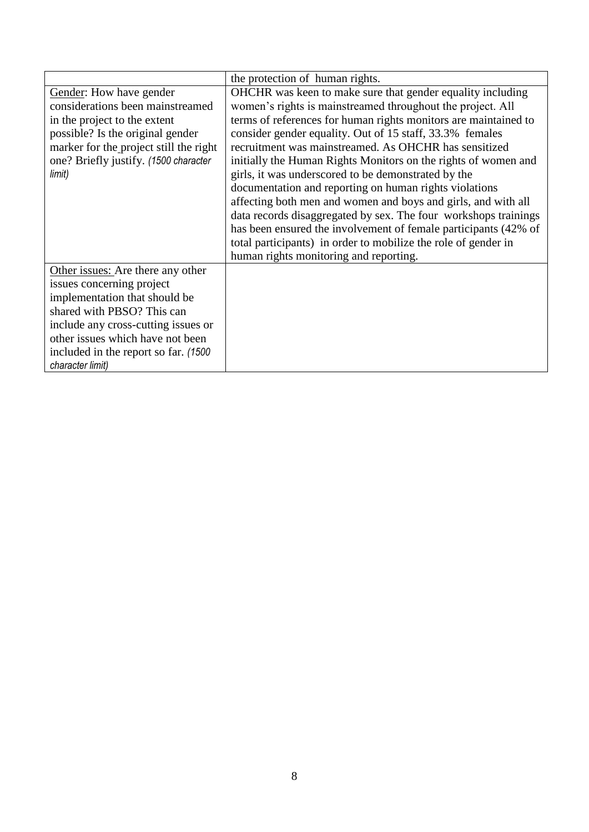|                                        | the protection of human rights.                                 |
|----------------------------------------|-----------------------------------------------------------------|
| Gender: How have gender                | OHCHR was keen to make sure that gender equality including      |
| considerations been mainstreamed       | women's rights is mainstreamed throughout the project. All      |
| in the project to the extent           | terms of references for human rights monitors are maintained to |
| possible? Is the original gender       | consider gender equality. Out of 15 staff, 33.3% females        |
| marker for the project still the right | recruitment was mainstreamed. As OHCHR has sensitized           |
| one? Briefly justify. (1500 character  | initially the Human Rights Monitors on the rights of women and  |
| limit)                                 | girls, it was underscored to be demonstrated by the             |
|                                        | documentation and reporting on human rights violations          |
|                                        | affecting both men and women and boys and girls, and with all   |
|                                        | data records disaggregated by sex. The four workshops trainings |
|                                        | has been ensured the involvement of female participants (42% of |
|                                        | total participants) in order to mobilize the role of gender in  |
|                                        | human rights monitoring and reporting.                          |
| Other issues: Are there any other      |                                                                 |
| issues concerning project              |                                                                 |
| implementation that should be          |                                                                 |
| shared with PBSO? This can             |                                                                 |
| include any cross-cutting issues or    |                                                                 |
| other issues which have not been       |                                                                 |
| included in the report so far. (1500)  |                                                                 |
| character limit)                       |                                                                 |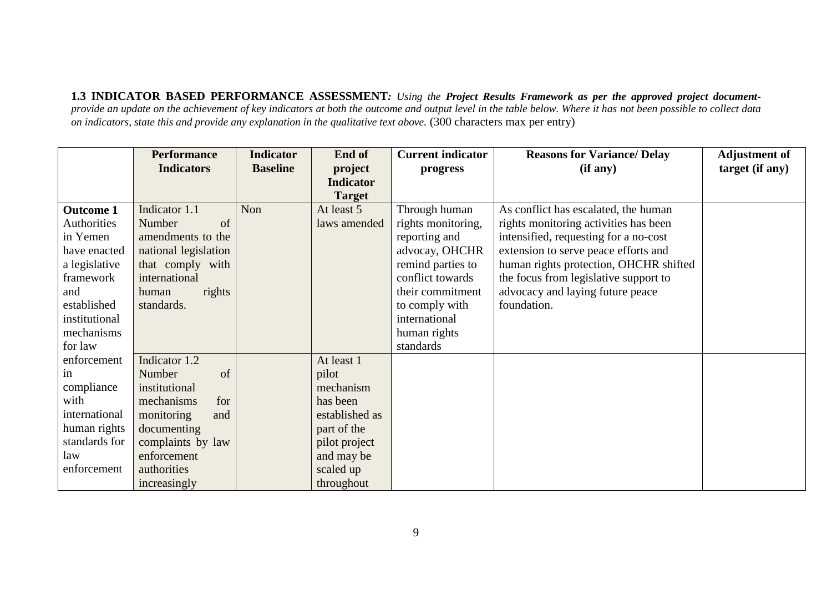**1.3 INDICATOR BASED PERFORMANCE ASSESSMENT***: Using the Project Results Framework as per the approved project documentprovide an update on the achievement of key indicators at both the outcome and output level in the table below. Where it has not been possible to collect data on indicators, state this and provide any explanation in the qualitative text above.* (300 characters max per entry)

|                  | <b>Performance</b>   | <b>Indicator</b> | End of           | <b>Current indicator</b> | <b>Reasons for Variance/ Delay</b>     | <b>Adjustment of</b> |
|------------------|----------------------|------------------|------------------|--------------------------|----------------------------------------|----------------------|
|                  | <b>Indicators</b>    | <b>Baseline</b>  | project          | progress                 | (if any)                               | target (if any)      |
|                  |                      |                  | <b>Indicator</b> |                          |                                        |                      |
|                  |                      |                  | <b>Target</b>    |                          |                                        |                      |
| <b>Outcome 1</b> | Indicator 1.1        | Non              | At least 5       | Through human            | As conflict has escalated, the human   |                      |
| Authorities      | $\sigma$<br>Number   |                  | laws amended     | rights monitoring,       | rights monitoring activities has been  |                      |
| in Yemen         | amendments to the    |                  |                  | reporting and            | intensified, requesting for a no-cost  |                      |
| have enacted     | national legislation |                  |                  | advocay, OHCHR           | extension to serve peace efforts and   |                      |
| a legislative    | that comply with     |                  |                  | remind parties to        | human rights protection, OHCHR shifted |                      |
| framework        | international        |                  |                  | conflict towards         | the focus from legislative support to  |                      |
| and              | rights<br>human      |                  |                  | their commitment         | advocacy and laying future peace       |                      |
| established      | standards.           |                  |                  | to comply with           | foundation.                            |                      |
| institutional    |                      |                  |                  | international            |                                        |                      |
| mechanisms       |                      |                  |                  | human rights             |                                        |                      |
| for law          |                      |                  |                  | standards                |                                        |                      |
| enforcement      | Indicator 1.2        |                  | At least 1       |                          |                                        |                      |
| in               | of<br>Number         |                  | pilot            |                          |                                        |                      |
| compliance       | institutional        |                  | mechanism        |                          |                                        |                      |
| with             | for<br>mechanisms    |                  | has been         |                          |                                        |                      |
| international    | monitoring<br>and    |                  | established as   |                          |                                        |                      |
| human rights     | documenting          |                  | part of the      |                          |                                        |                      |
| standards for    | complaints by law    |                  | pilot project    |                          |                                        |                      |
| law              | enforcement          |                  | and may be       |                          |                                        |                      |
| enforcement      | authorities          |                  | scaled up        |                          |                                        |                      |
|                  | increasingly         |                  | throughout       |                          |                                        |                      |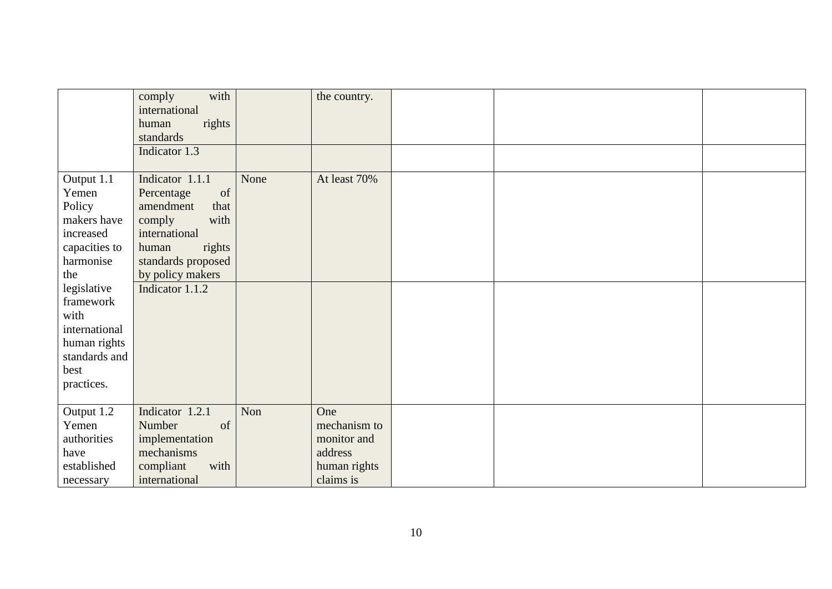|                          | with<br>comply<br>international |      | the country. |  |  |
|--------------------------|---------------------------------|------|--------------|--|--|
|                          | rights<br>human                 |      |              |  |  |
|                          | standards                       |      |              |  |  |
|                          | Indicator 1.3                   |      |              |  |  |
| Output 1.1               | Indicator 1.1.1                 | None | At least 70% |  |  |
| Yemen                    | Percentage<br>of                |      |              |  |  |
| Policy                   | amendment<br>that               |      |              |  |  |
| makers have              | with<br>comply                  |      |              |  |  |
| increased                | international                   |      |              |  |  |
| capacities to            | rights<br>human                 |      |              |  |  |
| harmonise                | standards proposed              |      |              |  |  |
| the                      | by policy makers                |      |              |  |  |
|                          | Indicator 1.1.2                 |      |              |  |  |
| legislative<br>framework |                                 |      |              |  |  |
|                          |                                 |      |              |  |  |
| with<br>international    |                                 |      |              |  |  |
|                          |                                 |      |              |  |  |
| human rights             |                                 |      |              |  |  |
| standards and            |                                 |      |              |  |  |
| best                     |                                 |      |              |  |  |
| practices.               |                                 |      |              |  |  |
| Output 1.2               | Indicator 1.2.1                 | Non  | One          |  |  |
| Yemen                    | Number<br>of                    |      | mechanism to |  |  |
| authorities              | implementation                  |      | monitor and  |  |  |
| have                     | mechanisms                      |      | address      |  |  |
| established              | with<br>compliant               |      | human rights |  |  |
| necessary                | international                   |      | claims is    |  |  |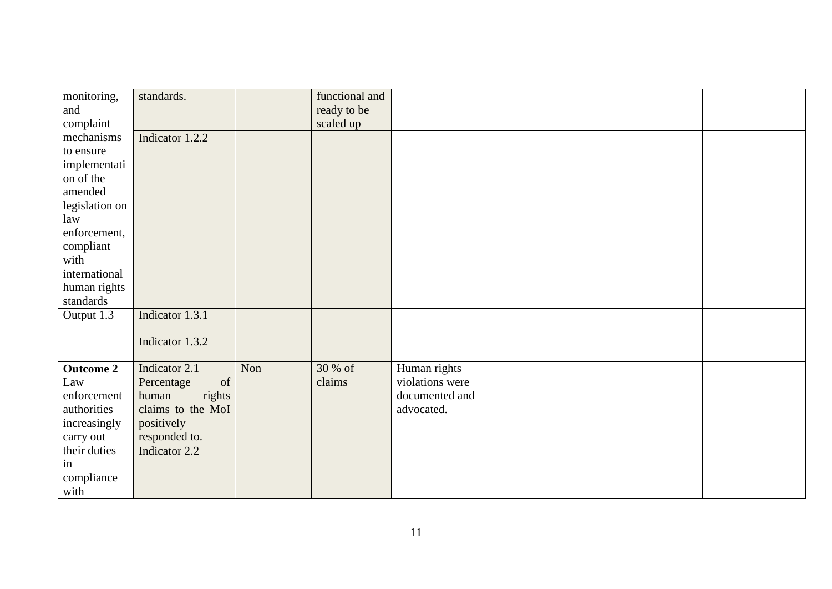| monitoring,      | standards.        |     | functional and |                 |  |
|------------------|-------------------|-----|----------------|-----------------|--|
| and              |                   |     | ready to be    |                 |  |
| complaint        |                   |     | scaled up      |                 |  |
| mechanisms       | Indicator 1.2.2   |     |                |                 |  |
| to ensure        |                   |     |                |                 |  |
| implementati     |                   |     |                |                 |  |
| on of the        |                   |     |                |                 |  |
| amended          |                   |     |                |                 |  |
| legislation on   |                   |     |                |                 |  |
| law              |                   |     |                |                 |  |
| enforcement,     |                   |     |                |                 |  |
| compliant        |                   |     |                |                 |  |
| with             |                   |     |                |                 |  |
| international    |                   |     |                |                 |  |
| human rights     |                   |     |                |                 |  |
| standards        |                   |     |                |                 |  |
| Output 1.3       | Indicator 1.3.1   |     |                |                 |  |
|                  |                   |     |                |                 |  |
|                  | Indicator 1.3.2   |     |                |                 |  |
|                  |                   |     |                |                 |  |
| <b>Outcome 2</b> | Indicator 2.1     | Non | 30 % of        | Human rights    |  |
| Law              | of<br>Percentage  |     | claims         | violations were |  |
| enforcement      | rights<br>human   |     |                | documented and  |  |
| authorities      | claims to the MoI |     |                | advocated.      |  |
| increasingly     | positively        |     |                |                 |  |
| carry out        | responded to.     |     |                |                 |  |
| their duties     | Indicator 2.2     |     |                |                 |  |
| in               |                   |     |                |                 |  |
| compliance       |                   |     |                |                 |  |
| with             |                   |     |                |                 |  |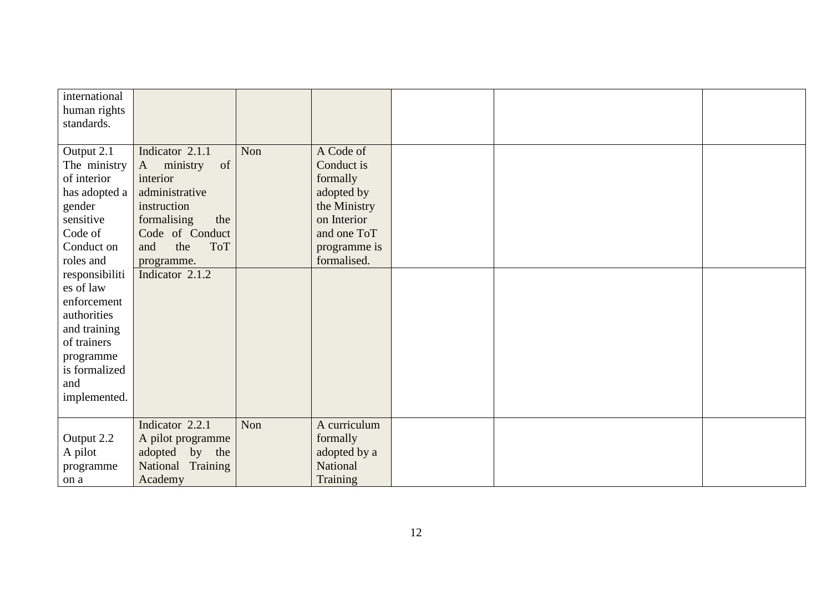| international  |                                |     |              |  |  |
|----------------|--------------------------------|-----|--------------|--|--|
| human rights   |                                |     |              |  |  |
| standards.     |                                |     |              |  |  |
|                |                                |     |              |  |  |
| Output 2.1     | Indicator 2.1.1                | Non | A Code of    |  |  |
| The ministry   | ministry<br>of<br>$\mathbf{A}$ |     | Conduct is   |  |  |
| of interior    | interior                       |     | formally     |  |  |
| has adopted a  | administrative                 |     | adopted by   |  |  |
| gender         | instruction                    |     | the Ministry |  |  |
| sensitive      | formalising<br>the             |     | on Interior  |  |  |
| Code of        | Code of Conduct                |     | and one ToT  |  |  |
| Conduct on     | the<br><b>ToT</b><br>and       |     | programme is |  |  |
| roles and      | programme.                     |     | formalised.  |  |  |
| responsibiliti | Indicator 2.1.2                |     |              |  |  |
| es of law      |                                |     |              |  |  |
| enforcement    |                                |     |              |  |  |
| authorities    |                                |     |              |  |  |
| and training   |                                |     |              |  |  |
| of trainers    |                                |     |              |  |  |
| programme      |                                |     |              |  |  |
| is formalized  |                                |     |              |  |  |
| and            |                                |     |              |  |  |
| implemented.   |                                |     |              |  |  |
|                |                                |     |              |  |  |
|                | Indicator 2.2.1                | Non | A curriculum |  |  |
| Output 2.2     | A pilot programme              |     | formally     |  |  |
| A pilot        | adopted by the                 |     | adopted by a |  |  |
| programme      | National Training              |     | National     |  |  |
| on a           | Academy                        |     | Training     |  |  |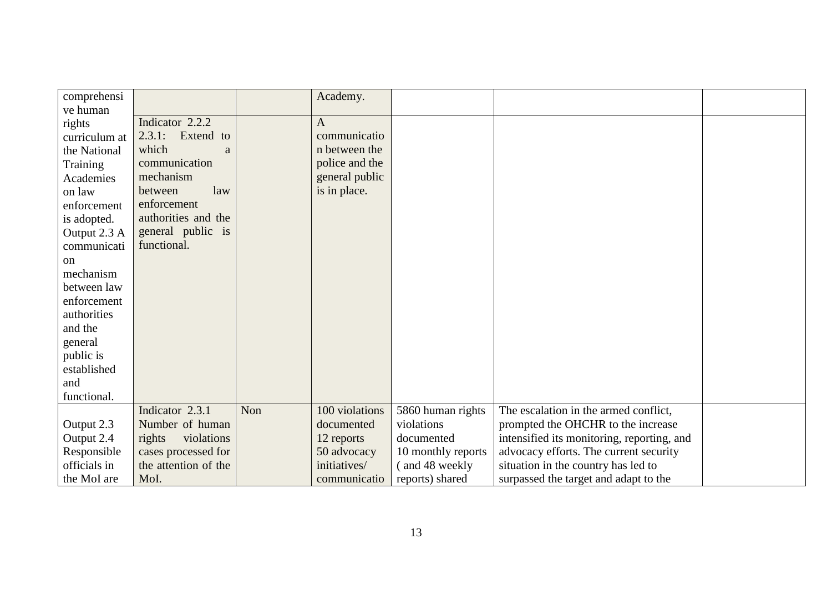| comprehensi   |                      |     | Academy.       |                    |                                            |  |
|---------------|----------------------|-----|----------------|--------------------|--------------------------------------------|--|
| ve human      |                      |     |                |                    |                                            |  |
| rights        | Indicator 2.2.2      |     | $\mathbf{A}$   |                    |                                            |  |
| curriculum at | 2.3.1:<br>Extend to  |     | communicatio   |                    |                                            |  |
| the National  | which<br>a           |     | n between the  |                    |                                            |  |
| Training      | communication        |     | police and the |                    |                                            |  |
| Academies     | mechanism            |     | general public |                    |                                            |  |
| on law        | law<br>between       |     | is in place.   |                    |                                            |  |
| enforcement   | enforcement          |     |                |                    |                                            |  |
| is adopted.   | authorities and the  |     |                |                    |                                            |  |
| Output 2.3 A  | general public is    |     |                |                    |                                            |  |
| communicati   | functional.          |     |                |                    |                                            |  |
| <sub>on</sub> |                      |     |                |                    |                                            |  |
| mechanism     |                      |     |                |                    |                                            |  |
| between law   |                      |     |                |                    |                                            |  |
| enforcement   |                      |     |                |                    |                                            |  |
| authorities   |                      |     |                |                    |                                            |  |
| and the       |                      |     |                |                    |                                            |  |
| general       |                      |     |                |                    |                                            |  |
| public is     |                      |     |                |                    |                                            |  |
| established   |                      |     |                |                    |                                            |  |
| and           |                      |     |                |                    |                                            |  |
| functional.   |                      |     |                |                    |                                            |  |
|               | Indicator 2.3.1      | Non | 100 violations | 5860 human rights  | The escalation in the armed conflict,      |  |
| Output 2.3    | Number of human      |     | documented     | violations         | prompted the OHCHR to the increase         |  |
| Output 2.4    | rights<br>violations |     | 12 reports     | documented         | intensified its monitoring, reporting, and |  |
| Responsible   | cases processed for  |     | 50 advocacy    | 10 monthly reports | advocacy efforts. The current security     |  |
| officials in  | the attention of the |     | initiatives/   | (and 48 weekly     | situation in the country has led to        |  |
| the MoI are   | MoI.                 |     | communicatio   | reports) shared    | surpassed the target and adapt to the      |  |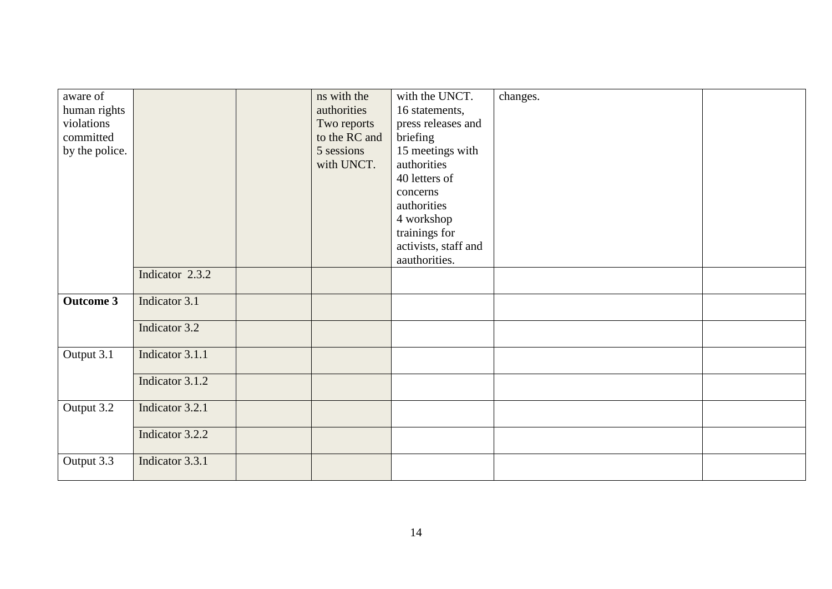| aware of         |                 | ns with the   | with the UNCT.       | changes. |  |
|------------------|-----------------|---------------|----------------------|----------|--|
|                  |                 |               |                      |          |  |
| human rights     |                 | authorities   | 16 statements,       |          |  |
| violations       |                 | Two reports   | press releases and   |          |  |
| committed        |                 | to the RC and | briefing             |          |  |
| by the police.   |                 | 5 sessions    | 15 meetings with     |          |  |
|                  |                 | with UNCT.    | authorities          |          |  |
|                  |                 |               | 40 letters of        |          |  |
|                  |                 |               | concerns             |          |  |
|                  |                 |               |                      |          |  |
|                  |                 |               | authorities          |          |  |
|                  |                 |               | 4 workshop           |          |  |
|                  |                 |               | trainings for        |          |  |
|                  |                 |               | activists, staff and |          |  |
|                  |                 |               | aauthorities.        |          |  |
|                  | Indicator 2.3.2 |               |                      |          |  |
|                  |                 |               |                      |          |  |
| <b>Outcome 3</b> | Indicator 3.1   |               |                      |          |  |
|                  |                 |               |                      |          |  |
|                  | Indicator 3.2   |               |                      |          |  |
|                  |                 |               |                      |          |  |
| Output 3.1       | Indicator 3.1.1 |               |                      |          |  |
|                  |                 |               |                      |          |  |
|                  | Indicator 3.1.2 |               |                      |          |  |
|                  |                 |               |                      |          |  |
| Output 3.2       | Indicator 3.2.1 |               |                      |          |  |
|                  |                 |               |                      |          |  |
|                  | Indicator 3.2.2 |               |                      |          |  |
|                  |                 |               |                      |          |  |
| Output 3.3       | Indicator 3.3.1 |               |                      |          |  |
|                  |                 |               |                      |          |  |
|                  |                 |               |                      |          |  |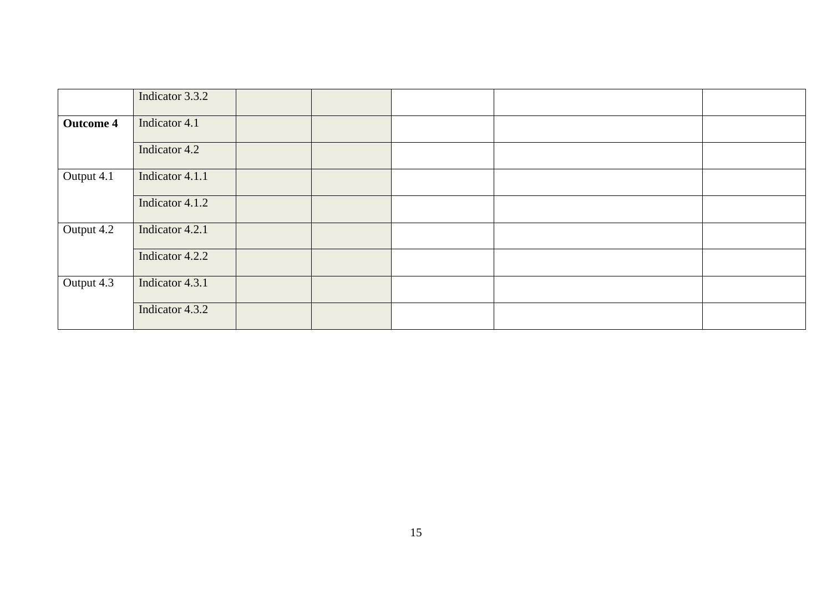|                  | Indicator 3.3.2 |  |  |  |
|------------------|-----------------|--|--|--|
| <b>Outcome 4</b> | Indicator 4.1   |  |  |  |
|                  | Indicator 4.2   |  |  |  |
| Output 4.1       | Indicator 4.1.1 |  |  |  |
|                  | Indicator 4.1.2 |  |  |  |
| Output 4.2       | Indicator 4.2.1 |  |  |  |
|                  | Indicator 4.2.2 |  |  |  |
| Output 4.3       | Indicator 4.3.1 |  |  |  |
|                  | Indicator 4.3.2 |  |  |  |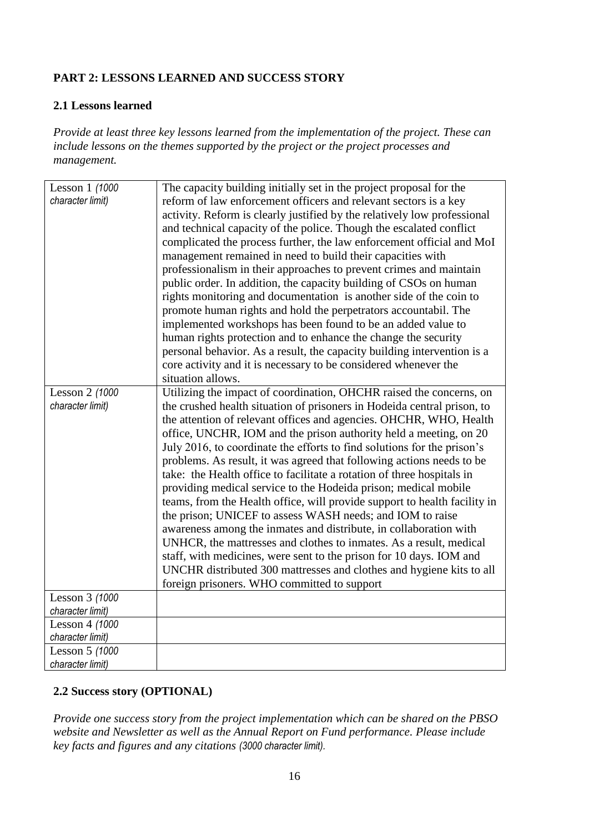# **PART 2: LESSONS LEARNED AND SUCCESS STORY**

# **2.1 Lessons learned**

*Provide at least three key lessons learned from the implementation of the project. These can include lessons on the themes supported by the project or the project processes and management.*

| Lesson 1 (1000   | The capacity building initially set in the project proposal for the       |
|------------------|---------------------------------------------------------------------------|
| character limit) | reform of law enforcement officers and relevant sectors is a key          |
|                  | activity. Reform is clearly justified by the relatively low professional  |
|                  | and technical capacity of the police. Though the escalated conflict       |
|                  |                                                                           |
|                  | complicated the process further, the law enforcement official and MoI     |
|                  | management remained in need to build their capacities with                |
|                  | professionalism in their approaches to prevent crimes and maintain        |
|                  | public order. In addition, the capacity building of CSOs on human         |
|                  | rights monitoring and documentation is another side of the coin to        |
|                  |                                                                           |
|                  | promote human rights and hold the perpetrators accountabil. The           |
|                  | implemented workshops has been found to be an added value to              |
|                  | human rights protection and to enhance the change the security            |
|                  | personal behavior. As a result, the capacity building intervention is a   |
|                  | core activity and it is necessary to be considered whenever the           |
|                  | situation allows.                                                         |
|                  |                                                                           |
| Lesson 2 (1000   | Utilizing the impact of coordination, OHCHR raised the concerns, on       |
| character limit) | the crushed health situation of prisoners in Hodeida central prison, to   |
|                  | the attention of relevant offices and agencies. OHCHR, WHO, Health        |
|                  | office, UNCHR, IOM and the prison authority held a meeting, on 20         |
|                  | July 2016, to coordinate the efforts to find solutions for the prison's   |
|                  | problems. As result, it was agreed that following actions needs to be     |
|                  |                                                                           |
|                  | take: the Health office to facilitate a rotation of three hospitals in    |
|                  | providing medical service to the Hodeida prison; medical mobile           |
|                  | teams, from the Health office, will provide support to health facility in |
|                  | the prison; UNICEF to assess WASH needs; and IOM to raise                 |
|                  | awareness among the inmates and distribute, in collaboration with         |
|                  | UNHCR, the mattresses and clothes to inmates. As a result, medical        |
|                  |                                                                           |
|                  | staff, with medicines, were sent to the prison for 10 days. IOM and       |
|                  | UNCHR distributed 300 mattresses and clothes and hygiene kits to all      |
|                  | foreign prisoners. WHO committed to support                               |
| Lesson 3 (1000   |                                                                           |
| character limit) |                                                                           |
| Lesson 4 (1000   |                                                                           |
| character limit) |                                                                           |
| Lesson 5 (1000   |                                                                           |
| character limit) |                                                                           |
|                  |                                                                           |

# **2.2 Success story (OPTIONAL)**

*Provide one success story from the project implementation which can be shared on the PBSO website and Newsletter as well as the Annual Report on Fund performance. Please include key facts and figures and any citations (3000 character limit).*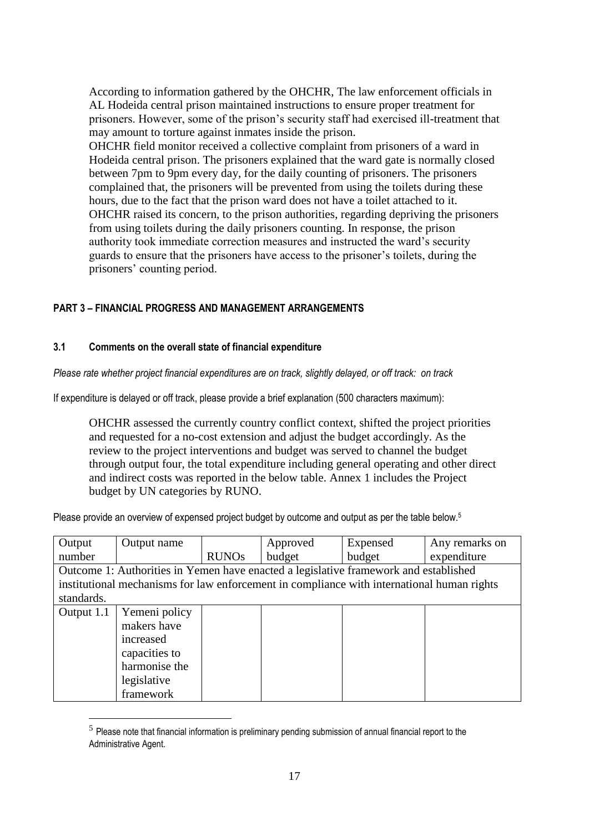According to information gathered by the OHCHR, The law enforcement officials in AL Hodeida central prison maintained instructions to ensure proper treatment for prisoners. However, some of the prison's security staff had exercised ill-treatment that may amount to torture against inmates inside the prison.

OHCHR field monitor received a collective complaint from prisoners of a ward in Hodeida central prison. The prisoners explained that the ward gate is normally closed between 7pm to 9pm every day, for the daily counting of prisoners. The prisoners complained that, the prisoners will be prevented from using the toilets during these hours, due to the fact that the prison ward does not have a toilet attached to it. OHCHR raised its concern, to the prison authorities, regarding depriving the prisoners from using toilets during the daily prisoners counting. In response, the prison authority took immediate correction measures and instructed the ward's security guards to ensure that the prisoners have access to the prisoner's toilets, during the prisoners' counting period.

# **PART 3** *–* **FINANCIAL PROGRESS AND MANAGEMENT ARRANGEMENTS**

# **3.1 Comments on the overall state of financial expenditure**

<u>.</u>

*Please rate whether project financial expenditures are on track, slightly delayed, or off track: on track*

If expenditure is delayed or off track, please provide a brief explanation (500 characters maximum):

OHCHR assessed the currently country conflict context, shifted the project priorities and requested for a no-cost extension and adjust the budget accordingly. As the review to the project interventions and budget was served to channel the budget through output four, the total expenditure including general operating and other direct and indirect costs was reported in the below table. Annex 1 includes the Project budget by UN categories by RUNO.

Please provide an overview of expensed project budget by outcome and output as per the table below.<sup>5</sup>

| Output                                                                                     | Output name   |              | Approved | Expensed | Any remarks on |  |  |  |
|--------------------------------------------------------------------------------------------|---------------|--------------|----------|----------|----------------|--|--|--|
| number                                                                                     |               | <b>RUNOs</b> | budget   | budget   | expenditure    |  |  |  |
| Outcome 1: Authorities in Yemen have enacted a legislative framework and established       |               |              |          |          |                |  |  |  |
| institutional mechanisms for law enforcement in compliance with international human rights |               |              |          |          |                |  |  |  |
| standards.                                                                                 |               |              |          |          |                |  |  |  |
| Output 1.1                                                                                 | Yemeni policy |              |          |          |                |  |  |  |
|                                                                                            | makers have   |              |          |          |                |  |  |  |
|                                                                                            | increased     |              |          |          |                |  |  |  |
|                                                                                            | capacities to |              |          |          |                |  |  |  |
|                                                                                            | harmonise the |              |          |          |                |  |  |  |
|                                                                                            | legislative   |              |          |          |                |  |  |  |
|                                                                                            | framework     |              |          |          |                |  |  |  |

 $<sup>5</sup>$  Please note that financial information is preliminary pending submission of annual financial report to the</sup> Administrative Agent.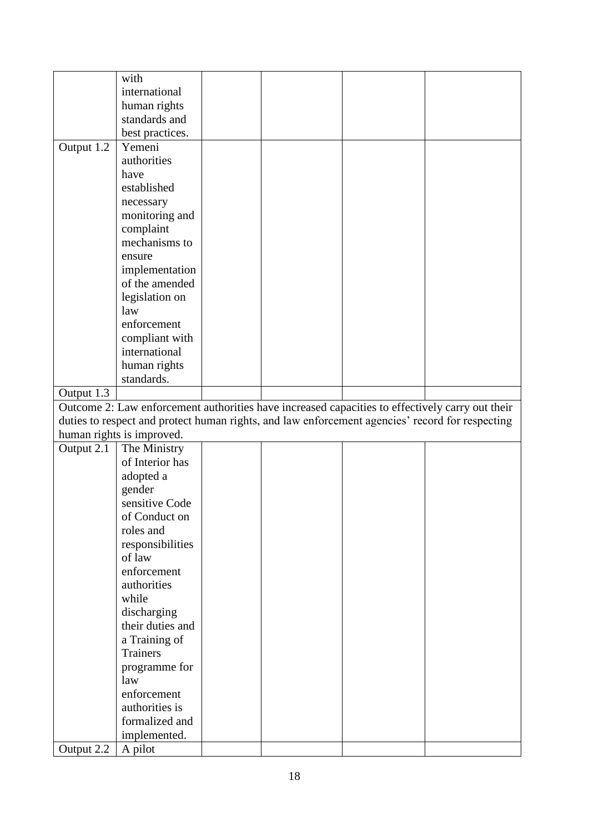|                                                                                                                                                                                                    | with                      |  |  |  |  |  |  |
|----------------------------------------------------------------------------------------------------------------------------------------------------------------------------------------------------|---------------------------|--|--|--|--|--|--|
|                                                                                                                                                                                                    | international             |  |  |  |  |  |  |
|                                                                                                                                                                                                    | human rights              |  |  |  |  |  |  |
|                                                                                                                                                                                                    | standards and             |  |  |  |  |  |  |
|                                                                                                                                                                                                    | best practices.           |  |  |  |  |  |  |
| Output 1.2                                                                                                                                                                                         | Yemeni                    |  |  |  |  |  |  |
|                                                                                                                                                                                                    | authorities               |  |  |  |  |  |  |
|                                                                                                                                                                                                    | have                      |  |  |  |  |  |  |
|                                                                                                                                                                                                    | established               |  |  |  |  |  |  |
|                                                                                                                                                                                                    | necessary                 |  |  |  |  |  |  |
|                                                                                                                                                                                                    | monitoring and            |  |  |  |  |  |  |
|                                                                                                                                                                                                    | complaint                 |  |  |  |  |  |  |
|                                                                                                                                                                                                    | mechanisms to             |  |  |  |  |  |  |
|                                                                                                                                                                                                    | ensure                    |  |  |  |  |  |  |
|                                                                                                                                                                                                    | implementation            |  |  |  |  |  |  |
|                                                                                                                                                                                                    | of the amended            |  |  |  |  |  |  |
|                                                                                                                                                                                                    | legislation on            |  |  |  |  |  |  |
|                                                                                                                                                                                                    | law                       |  |  |  |  |  |  |
|                                                                                                                                                                                                    | enforcement               |  |  |  |  |  |  |
|                                                                                                                                                                                                    | compliant with            |  |  |  |  |  |  |
|                                                                                                                                                                                                    | international             |  |  |  |  |  |  |
|                                                                                                                                                                                                    | human rights              |  |  |  |  |  |  |
|                                                                                                                                                                                                    | standards.                |  |  |  |  |  |  |
| Output 1.3                                                                                                                                                                                         |                           |  |  |  |  |  |  |
|                                                                                                                                                                                                    |                           |  |  |  |  |  |  |
| Outcome 2: Law enforcement authorities have increased capacities to effectively carry out their<br>duties to respect and protect human rights, and law enforcement agencies' record for respecting |                           |  |  |  |  |  |  |
|                                                                                                                                                                                                    | human rights is improved. |  |  |  |  |  |  |
| Output 2.1                                                                                                                                                                                         | The Ministry              |  |  |  |  |  |  |
|                                                                                                                                                                                                    | of Interior has           |  |  |  |  |  |  |
|                                                                                                                                                                                                    | adopted a                 |  |  |  |  |  |  |
|                                                                                                                                                                                                    | gender                    |  |  |  |  |  |  |
|                                                                                                                                                                                                    | sensitive Code            |  |  |  |  |  |  |
|                                                                                                                                                                                                    | of Conduct on             |  |  |  |  |  |  |
|                                                                                                                                                                                                    | roles and                 |  |  |  |  |  |  |
|                                                                                                                                                                                                    | responsibilities          |  |  |  |  |  |  |
|                                                                                                                                                                                                    | of law                    |  |  |  |  |  |  |
|                                                                                                                                                                                                    | enforcement               |  |  |  |  |  |  |
|                                                                                                                                                                                                    | authorities               |  |  |  |  |  |  |
|                                                                                                                                                                                                    | while                     |  |  |  |  |  |  |
|                                                                                                                                                                                                    | discharging               |  |  |  |  |  |  |
|                                                                                                                                                                                                    | their duties and          |  |  |  |  |  |  |
|                                                                                                                                                                                                    | a Training of             |  |  |  |  |  |  |
|                                                                                                                                                                                                    | <b>Trainers</b>           |  |  |  |  |  |  |
|                                                                                                                                                                                                    | programme for             |  |  |  |  |  |  |
|                                                                                                                                                                                                    | law                       |  |  |  |  |  |  |
|                                                                                                                                                                                                    | enforcement               |  |  |  |  |  |  |
|                                                                                                                                                                                                    | authorities is            |  |  |  |  |  |  |
|                                                                                                                                                                                                    | formalized and            |  |  |  |  |  |  |
|                                                                                                                                                                                                    | implemented.              |  |  |  |  |  |  |
|                                                                                                                                                                                                    |                           |  |  |  |  |  |  |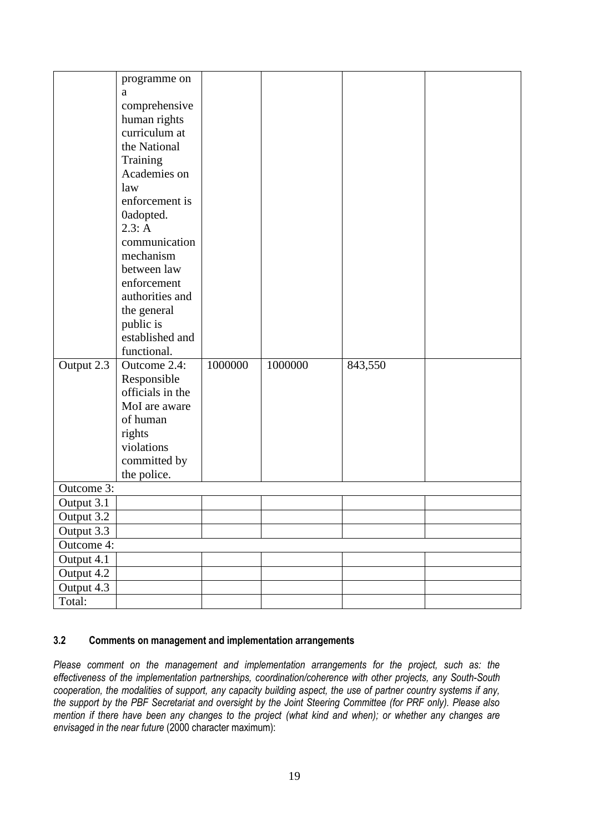|            | programme on                  |         |         |         |  |  |  |  |
|------------|-------------------------------|---------|---------|---------|--|--|--|--|
|            | a                             |         |         |         |  |  |  |  |
|            |                               |         |         |         |  |  |  |  |
|            | comprehensive                 |         |         |         |  |  |  |  |
|            | human rights<br>curriculum at |         |         |         |  |  |  |  |
|            |                               |         |         |         |  |  |  |  |
|            | the National                  |         |         |         |  |  |  |  |
|            | Training                      |         |         |         |  |  |  |  |
|            | Academies on                  |         |         |         |  |  |  |  |
|            | law                           |         |         |         |  |  |  |  |
|            | enforcement is                |         |         |         |  |  |  |  |
|            | 0adopted.                     |         |         |         |  |  |  |  |
|            | 2.3: A                        |         |         |         |  |  |  |  |
|            | communication                 |         |         |         |  |  |  |  |
|            | mechanism                     |         |         |         |  |  |  |  |
|            | between law                   |         |         |         |  |  |  |  |
|            | enforcement                   |         |         |         |  |  |  |  |
|            | authorities and               |         |         |         |  |  |  |  |
|            | the general                   |         |         |         |  |  |  |  |
|            | public is                     |         |         |         |  |  |  |  |
|            | established and               |         |         |         |  |  |  |  |
|            | functional.                   |         |         |         |  |  |  |  |
| Output 2.3 | Outcome 2.4:                  | 1000000 | 1000000 | 843,550 |  |  |  |  |
|            | Responsible                   |         |         |         |  |  |  |  |
|            | officials in the              |         |         |         |  |  |  |  |
|            | MoI are aware                 |         |         |         |  |  |  |  |
|            | of human                      |         |         |         |  |  |  |  |
|            | rights                        |         |         |         |  |  |  |  |
|            | violations                    |         |         |         |  |  |  |  |
|            | committed by                  |         |         |         |  |  |  |  |
|            | the police.                   |         |         |         |  |  |  |  |
| Outcome 3: |                               |         |         |         |  |  |  |  |
| Output 3.1 |                               |         |         |         |  |  |  |  |
| Output 3.2 |                               |         |         |         |  |  |  |  |
| Output 3.3 |                               |         |         |         |  |  |  |  |
| Outcome 4: |                               |         |         |         |  |  |  |  |
| Output 4.1 |                               |         |         |         |  |  |  |  |
| Output 4.2 |                               |         |         |         |  |  |  |  |
| Output 4.3 |                               |         |         |         |  |  |  |  |
| Total:     |                               |         |         |         |  |  |  |  |

# **3.2 Comments on management and implementation arrangements**

*Please comment on the management and implementation arrangements for the project, such as: the effectiveness of the implementation partnerships, coordination/coherence with other projects, any South-South cooperation, the modalities of support, any capacity building aspect, the use of partner country systems if any, the support by the PBF Secretariat and oversight by the Joint Steering Committee (for PRF only). Please also mention if there have been any changes to the project (what kind and when); or whether any changes are envisaged in the near future* (2000 character maximum):